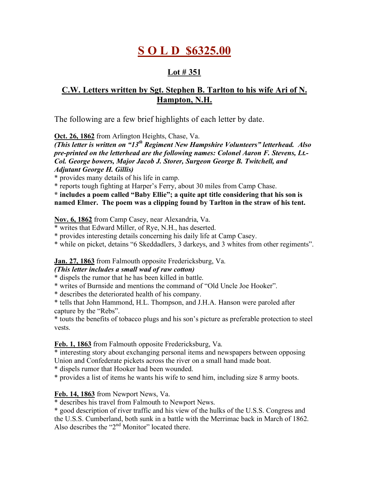# **S O L D \$6325.00**

# **Lot # 351**

# **C.W. Letters written by Sgt. Stephen B. Tarlton to his wife Ari of N. Hampton, N.H.**

The following are a few brief highlights of each letter by date.

**Oct. 26, 1862** from Arlington Heights, Chase, Va.

*(This letter is written on "13th Regiment New Hampshire Volunteers" letterhead. Also pre-printed on the letterhead are the following names: Colonel Aaron F. Stevens, Lt.- Col. George bowers, Major Jacob J. Storer, Surgeon George B. Twitchell, and Adjutant George H. Gillis)*

\* provides many details of his life in camp.

\* reports tough fighting at Harper's Ferry, about 30 miles from Camp Chase.

**\* includes a poem called "Baby Ellie"; a quite apt title considering that his son is named Elmer. The poem was a clipping found by Tarlton in the straw of his tent.**

# **Nov. 6, 1862** from Camp Casey, near Alexandria, Va.

\* writes that Edward Miller, of Rye, N.H., has deserted.

\* provides interesting details concerning his daily life at Camp Casey.

\* while on picket, detains "6 Skeddadlers, 3 darkeys, and 3 whites from other regiments".

**Jan. 27, 1863** from Falmouth opposite Fredericksburg, Va.

# *(This letter includes a small wad of raw cotton)*

\* dispels the rumor that he has been killed in battle.

\* writes of Burnside and mentions the command of "Old Uncle Joe Hooker".

\* describes the deteriorated health of his company.

\* tells that John Hammond, H.L. Thompson, and J.H.A. Hanson were paroled after capture by the "Rebs".

\* touts the benefits of tobacco plugs and his son's picture as preferable protection to steel vests.

**Feb. 1, 1863** from Falmouth opposite Fredericksburg, Va.

\* interesting story about exchanging personal items and newspapers between opposing Union and Confederate pickets across the river on a small hand made boat.

\* dispels rumor that Hooker had been wounded.

\* provides a list of items he wants his wife to send him, including size 8 army boots.

# **Feb. 14, 1863** from Newport News, Va.

\* describes his travel from Falmouth to Newport News.

\* good description of river traffic and his view of the hulks of the U.S.S. Congress and the U.S.S. Cumberland, both sunk in a battle with the Merrimac back in March of 1862. Also describes the " $2<sup>nd</sup>$  Monitor" located there.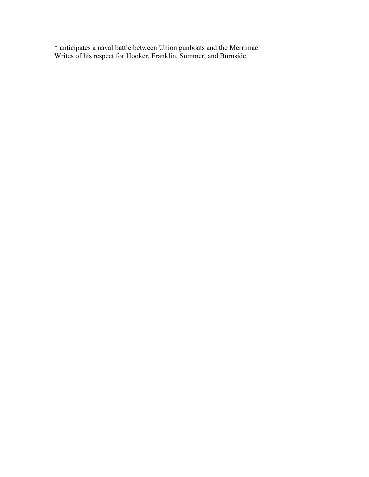\* anticipates a naval battle between Union gunboats and the Merrimac. Writes of his respect for Hooker, Franklin, Summer, and Burnside.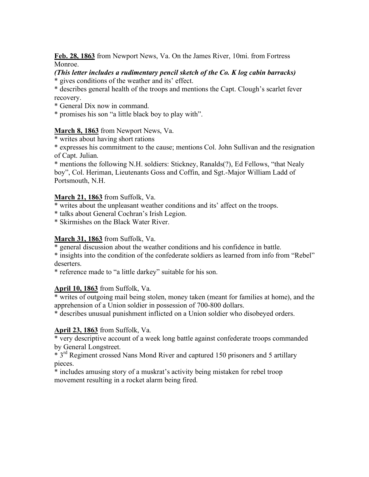**Feb. 28, 1863** from Newport News, Va. On the James River, 10mi. from Fortress Monroe.

# *(This letter includes a rudimentary pencil sketch of the Co. K log cabin barracks)*

\* gives conditions of the weather and its' effect.

\* describes general health of the troops and mentions the Capt. Clough's scarlet fever recovery.

\* General Dix now in command.

\* promises his son "a little black boy to play with".

# **March 8, 1863** from Newport News, Va.

\* writes about having short rations

\* expresses his commitment to the cause; mentions Col. John Sullivan and the resignation of Capt. Julian.

\* mentions the following N.H. soldiers: Stickney, Ranalds(?), Ed Fellows, "that Nealy boy", Col. Heriman, Lieutenants Goss and Coffin, and Sgt.-Major William Ladd of Portsmouth, N.H.

# **March 21, 1863** from Suffolk, Va.

\* writes about the unpleasant weather conditions and its' affect on the troops.

\* talks about General Cochran's Irish Legion.

\* Skirmishes on the Black Water River.

# **March 31, 1863** from Suffolk, Va.

\* general discussion about the weather conditions and his confidence in battle.

\* insights into the condition of the confederate soldiers as learned from info from "Rebel" deserters.

\* reference made to "a little darkey" suitable for his son.

# **April 10, 1863** from Suffolk, Va.

\* writes of outgoing mail being stolen, money taken (meant for families at home), and the apprehension of a Union soldier in possession of 700-800 dollars.

\* describes unusual punishment inflicted on a Union soldier who disobeyed orders.

# **April 23, 1863** from Suffolk, Va.

\* very descriptive account of a week long battle against confederate troops commanded by General Longstreet.

\* 3<sup>rd</sup> Regiment crossed Nans Mond River and captured 150 prisoners and 5 artillary pieces.

\* includes amusing story of a muskrat's activity being mistaken for rebel troop movement resulting in a rocket alarm being fired.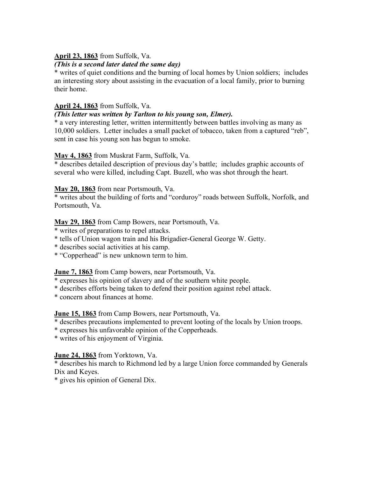# **April 23, 1863** from Suffolk, Va.

# *(This is a second later dated the same day)*

\* writes of quiet conditions and the burning of local homes by Union soldiers; includes an interesting story about assisting in the evacuation of a local family, prior to burning their home.

# **April 24, 1863** from Suffolk, Va.

#### *(This letter was written by Tarlton to his young son, Elmer).*

\* a very interesting letter, written intermittently between battles involving as many as 10,000 soldiers. Letter includes a small packet of tobacco, taken from a captured "reb", sent in case his young son has begun to smoke.

#### **May 4, 1863** from Muskrat Farm, Suffolk, Va.

\* describes detailed description of previous day's battle; includes graphic accounts of several who were killed, including Capt. Buzell, who was shot through the heart.

# **May 20, 1863** from near Portsmouth, Va.

\* writes about the building of forts and "corduroy" roads between Suffolk, Norfolk, and Portsmouth, Va.

#### **May 29, 1863** from Camp Bowers, near Portsmouth, Va.

\* writes of preparations to repel attacks.

\* tells of Union wagon train and his Brigadier-General George W. Getty.

\* describes social activities at his camp.

\* "Copperhead" is new unknown term to him.

# **June 7, 1863** from Camp bowers, near Portsmouth, Va.

- \* expresses his opinion of slavery and of the southern white people.
- \* describes efforts being taken to defend their position against rebel attack.
- \* concern about finances at home.

# **June 15, 1863** from Camp Bowers, near Portsmouth, Va.

- \* describes precautions implemented to prevent looting of the locals by Union troops.
- \* expresses his unfavorable opinion of the Copperheads.
- \* writes of his enjoyment of Virginia.

# **June 24, 1863** from Yorktown, Va.

\* describes his march to Richmond led by a large Union force commanded by Generals Dix and Keyes.

\* gives his opinion of General Dix.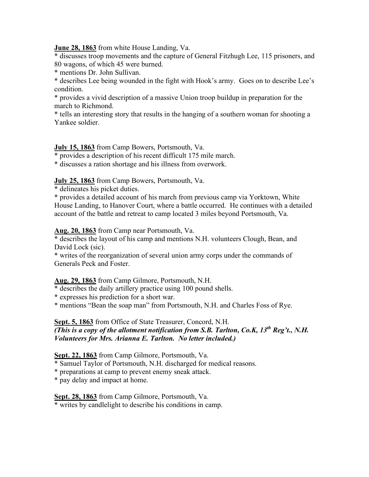**June 28, 1863** from white House Landing, Va.

\* discusses troop movements and the capture of General Fitzhugh Lee, 115 prisoners, and 80 wagons, of which 45 were burned.

\* mentions Dr. John Sullivan.

\* describes Lee being wounded in the fight with Hook's army. Goes on to describe Lee's condition.

\* provides a vivid description of a massive Union troop buildup in preparation for the march to Richmond.

\* tells an interesting story that results in the hanging of a southern woman for shooting a Yankee soldier.

# **July 15, 1863** from Camp Bowers, Portsmouth, Va.

\* provides a description of his recent difficult 175 mile march.

\* discusses a ration shortage and his illness from overwork.

**July 25, 1863** from Camp Bowers, Portsmouth, Va.

\* delineates his picket duties.

\* provides a detailed account of his march from previous camp via Yorktown, White House Landing, to Hanover Court, where a battle occurred. He continues with a detailed account of the battle and retreat to camp located 3 miles beyond Portsmouth, Va.

**Aug. 20, 1863** from Camp near Portsmouth, Va.

\* describes the layout of his camp and mentions N.H. volunteers Clough, Bean, and David Lock (sic).

\* writes of the reorganization of several union army corps under the commands of Generals Peck and Foster.

# **Aug. 29, 1863** from Camp Gilmore, Portsmouth, N.H.

\* describes the daily artillery practice using 100 pound shells.

\* expresses his prediction for a short war.

\* mentions "Bean the soap man" from Portsmouth, N.H. and Charles Foss of Rye.

**Sept. 5, 1863** from Office of State Treasurer, Concord, N.H.

*(This is a copy of the allotment notification from S.B. Tarlton, Co.K, 13th Reg't., N.H. Volunteers for Mrs. Arianna E. Tarlton. No letter included.)*

**Sept. 22, 1863** from Camp Gilmore, Portsmouth, Va.

\* Samuel Taylor of Portsmouth, N.H. discharged for medical reasons.

\* preparations at camp to prevent enemy sneak attack.

\* pay delay and impact at home.

**Sept. 28, 1863** from Camp Gilmore, Portsmouth, Va.

\* writes by candlelight to describe his conditions in camp.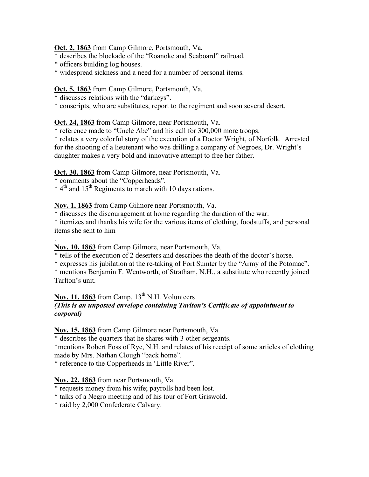#### **Oct. 2, 1863** from Camp Gilmore, Portsmouth, Va.

\* describes the blockade of the "Roanoke and Seaboard" railroad.

- \* officers building log houses.
- \* widespread sickness and a need for a number of personal items.

# **Oct. 5, 1863** from Camp Gilmore, Portsmouth, Va.

\* discusses relations with the "darkeys".

\* conscripts, who are substitutes, report to the regiment and soon several desert.

# **Oct. 24, 1863** from Camp Gilmore, near Portsmouth, Va.

\* reference made to "Uncle Abe" and his call for 300,000 more troops.

\* relates a very colorful story of the execution of a Doctor Wright, of Norfolk. Arrested for the shooting of a lieutenant who was drilling a company of Negroes, Dr. Wright's daughter makes a very bold and innovative attempt to free her father.

**Oct. 30, 1863** from Camp Gilmore, near Portsmouth, Va.

\* comments about the "Copperheads".

 $*$  4<sup>th</sup> and 15<sup>th</sup> Regiments to march with 10 days rations.

**Nov. 1, 1863** from Camp Gilmore near Portsmouth, Va.

\* discusses the discouragement at home regarding the duration of the war.

\* itemizes and thanks his wife for the various items of clothing, foodstuffs, and personal items she sent to him

#### . **Nov. 10, 1863** from Camp Gilmore, near Portsmouth, Va.

\* tells of the execution of 2 deserters and describes the death of the doctor's horse.

\* expresses his jubilation at the re-taking of Fort Sumter by the "Army of the Potomac".

\* mentions Benjamin F. Wentworth, of Stratham, N.H., a substitute who recently joined Tarlton's unit.

# Nov. 11, 1863 from Camp, 13<sup>th</sup> N.H. Volunteers *(This is an unposted envelope containing Tarlton's Certificate of appointment to corporal)*

**Nov. 15, 1863** from Camp Gilmore near Portsmouth, Va.

\* describes the quarters that he shares with 3 other sergeants.

\*mentions Robert Foss of Rye, N.H. and relates of his receipt of some articles of clothing made by Mrs. Nathan Clough "back home".

\* reference to the Copperheads in 'Little River".

# **Nov. 22, 1863** from near Portsmouth, Va.

\* requests money from his wife; payrolls had been lost.

\* talks of a Negro meeting and of his tour of Fort Griswold.

\* raid by 2,000 Confederate Calvary.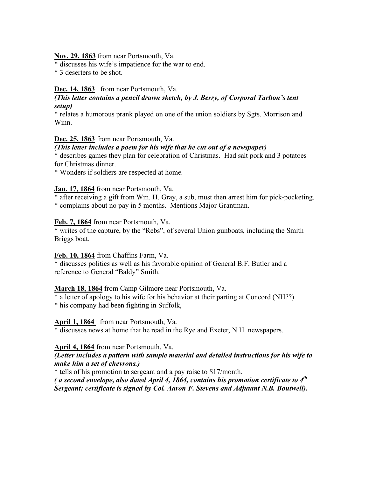**Nov. 29, 1863** from near Portsmouth, Va.

\* discusses his wife's impatience for the war to end.

\* 3 deserters to be shot.

#### Dec. 14, 1863 from near Portsmouth, Va.

#### *(This letter contains a pencil drawn sketch, by J. Berry, of Corporal Tarlton's tent setup)*

\* relates a humorous prank played on one of the union soldiers by Sgts. Morrison and Winn.

#### **Dec. 25, 1863** from near Portsmouth, Va.

#### *(This letter includes a poem for his wife that he cut out of a newspaper)*

\* describes games they plan for celebration of Christmas. Had salt pork and 3 potatoes for Christmas dinner.

\* Wonders if soldiers are respected at home.

#### **Jan. 17, 1864** from near Portsmouth, Va.

\* after receiving a gift from Wm. H. Gray, a sub, must then arrest him for pick-pocketing. \* complains about no pay in 5 months. Mentions Major Grantman.

#### **Feb. 7, 1864** from near Portsmouth, Va.

\* writes of the capture, by the "Rebs", of several Union gunboats, including the Smith Briggs boat.

#### **Feb. 10, 1864** from Chaffins Farm, Va.

\* discusses politics as well as his favorable opinion of General B.F. Butler and a reference to General "Baldy" Smith.

#### **March 18, 1864** from Camp Gilmore near Portsmouth, Va.

\* a letter of apology to his wife for his behavior at their parting at Concord (NH??)

\* his company had been fighting in Suffolk,

**April 1, 1864** from near Portsmouth, Va.

\* discusses news at home that he read in the Rye and Exeter, N.H. newspapers.

#### **April 4, 1864** from near Portsmouth, Va.

#### *(Letter includes a pattern with sample material and detailed instructions for his wife to make him a set of chevrons.)*

\* tells of his promotion to sergeant and a pay raise to \$17/month.

*( a second envelope, also dated April 4, 1864, contains his promotion certificate to 4th Sergeant; certificate is signed by Col. Aaron F. Stevens and Adjutant N.B. Boutwell).*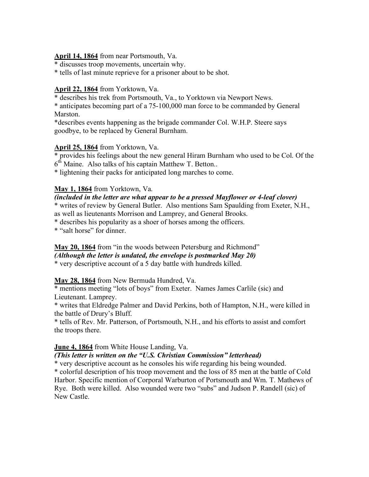#### **April 14, 1864** from near Portsmouth, Va.

\* discusses troop movements, uncertain why.

\* tells of last minute reprieve for a prisoner about to be shot.

# **April 22, 1864** from Yorktown, Va.

\* describes his trek from Portsmouth, Va., to Yorktown via Newport News.

\* anticipates becoming part of a 75-100,000 man force to be commanded by General Marston.

\*describes events happening as the brigade commander Col. W.H.P. Steere says goodbye, to be replaced by General Burnham.

# **April 25, 1864** from Yorktown, Va.

\* provides his feelings about the new general Hiram Burnham who used to be Col. Of the  $6<sup>th</sup>$  Maine. Also talks of his captain Matthew T. Betton..

\* lightening their packs for anticipated long marches to come.

# **May 1, 1864** from Yorktown, Va.

# *(included in the letter are what appear to be a pressed Mayflower or 4-leaf clover)*

\* writes of review by General Butler. Also mentions Sam Spaulding from Exeter, N.H., as well as lieutenants Morrison and Lamprey, and General Brooks.

\* describes his popularity as a shoer of horses among the officers.

\* "salt horse" for dinner.

# **May 20, 1864** from "in the woods between Petersburg and Richmond"

# *(Although the letter is undated, the envelope is postmarked May 20)*

\* very descriptive account of a 5 day battle with hundreds killed.

# **May 28, 1864** from New Bermuda Hundred, Va.

\* mentions meeting "lots of boys" from Exeter. Names James Carlile (sic) and Lieutenant. Lamprey.

\* writes that Eldredge Palmer and David Perkins, both of Hampton, N.H., were killed in the battle of Drury's Bluff.

\* tells of Rev. Mr. Patterson, of Portsmouth, N.H., and his efforts to assist and comfort the troops there.

# **June 4, 1864** from White House Landing, Va.

# *(This letter is written on the "U.S. Christian Commission" letterhead)*

\* very descriptive account as he consoles his wife regarding his being wounded.

\* colorful description of his troop movement and the loss of 85 men at the battle of Cold Harbor. Specific mention of Corporal Warburton of Portsmouth and Wm. T. Mathews of Rye. Both were killed. Also wounded were two "subs" and Judson P. Randell (sic) of New Castle.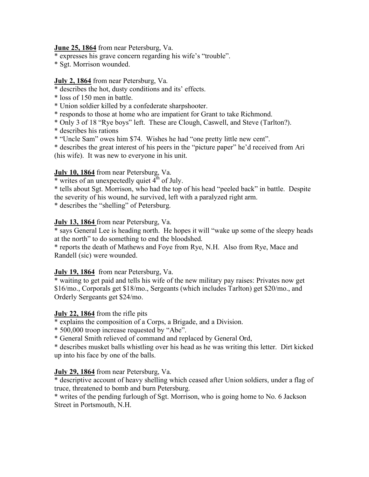# **June 25, 1864** from near Petersburg, Va.

- \* expresses his grave concern regarding his wife's "trouble".
- \* Sgt. Morrison wounded.

#### **July 2, 1864** from near Petersburg, Va.

- \* describes the hot, dusty conditions and its' effects.
- \* loss of 150 men in battle.
- \* Union soldier killed by a confederate sharpshooter.
- \* responds to those at home who are impatient for Grant to take Richmond.
- \* Only 3 of 18 "Rye boys" left. These are Clough, Caswell, and Steve (Tarlton?).
- \* describes his rations
- \* "Uncle Sam" owes him \$74. Wishes he had "one pretty little new cent".

\* describes the great interest of his peers in the "picture paper" he'd received from Ari (his wife). It was new to everyone in his unit.

#### **July 10, 1864** from near Petersburg, Va.

 $*$  writes of an unexpectedly quiet  $4<sup>th</sup>$  of July.

\* tells about Sgt. Morrison, who had the top of his head "peeled back" in battle. Despite the severity of his wound, he survived, left with a paralyzed right arm.

\* describes the "shelling" of Petersburg.

#### **July 13, 1864** from near Petersburg, Va.

\* says General Lee is heading north. He hopes it will "wake up some of the sleepy heads at the north" to do something to end the bloodshed.

\* reports the death of Mathews and Foye from Rye, N.H. Also from Rye, Mace and Randell (sic) were wounded.

# **July 19, 1864** from near Petersburg, Va.

\* waiting to get paid and tells his wife of the new military pay raises: Privates now get \$16/mo., Corporals get \$18/mo., Sergeants (which includes Tarlton) get \$20/mo., and Orderly Sergeants get \$24/mo.

#### **July 22, 1864** from the rifle pits

\* explains the composition of a Corps, a Brigade, and a Division.

\* 500,000 troop increase requested by "Abe".

\* General Smith relieved of command and replaced by General Ord,

\* describes musket balls whistling over his head as he was writing this letter. Dirt kicked up into his face by one of the balls.

#### **July 29, 1864** from near Petersburg, Va.

\* descriptive account of heavy shelling which ceased after Union soldiers, under a flag of truce, threatened to bomb and burn Petersburg.

\* writes of the pending furlough of Sgt. Morrison, who is going home to No. 6 Jackson Street in Portsmouth, N.H.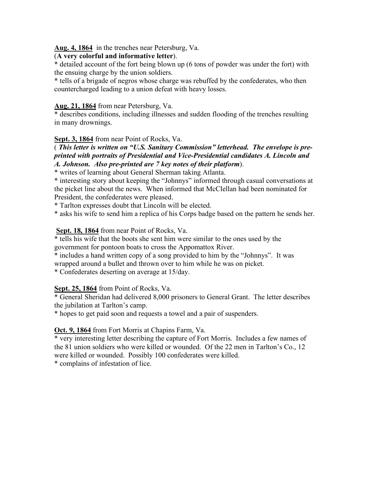**Aug. 4, 1864** in the trenches near Petersburg, Va.

# (**A very colorful and informative letter**).

\* detailed account of the fort being blown up (6 tons of powder was under the fort) with the ensuing charge by the union soldiers.

\* tells of a brigade of negros whose charge was rebuffed by the confederates, who then countercharged leading to a union defeat with heavy losses.

# **Aug. 21, 1864** from near Petersburg, Va.

\* describes conditions, including illnesses and sudden flooding of the trenches resulting in many drownings.

# **Sept. 3, 1864** from near Point of Rocks, Va.

#### ( *This letter is written on "U.S. Sanitary Commission" letterhead. The envelope is preprinted with portraits of Presidential and Vice-Presidential candidates A. Lincoln and A. Johnson. Also pre-printed are 7 key notes of their platform*).

\* writes of learning about General Sherman taking Atlanta.

\* interesting story about keeping the "Johnnys" informed through casual conversations at the picket line about the news. When informed that McClellan had been nominated for President, the confederates were pleased.

\* Tarlton expresses doubt that Lincoln will be elected.

\* asks his wife to send him a replica of his Corps badge based on the pattern he sends her.

# **Sept. 18, 1864** from near Point of Rocks, Va.

\* tells his wife that the boots she sent him were similar to the ones used by the government for pontoon boats to cross the Appomattox River.

\* includes a hand written copy of a song provided to him by the "Johnnys". It was wrapped around a bullet and thrown over to him while he was on picket.

\* Confederates deserting on average at 15/day.

# **Sept. 25, 1864** from Point of Rocks, Va.

\* General Sheridan had delivered 8,000 prisoners to General Grant. The letter describes the jubilation at Tarlton's camp.

\* hopes to get paid soon and requests a towel and a pair of suspenders.

# **Oct. 9, 1864** from Fort Morris at Chapins Farm, Va.

\* very interesting letter describing the capture of Fort Morris. Includes a few names of the 81 union soldiers who were killed or wounded. Of the 22 men in Tarlton's Co., 12 were killed or wounded. Possibly 100 confederates were killed.

\* complains of infestation of lice.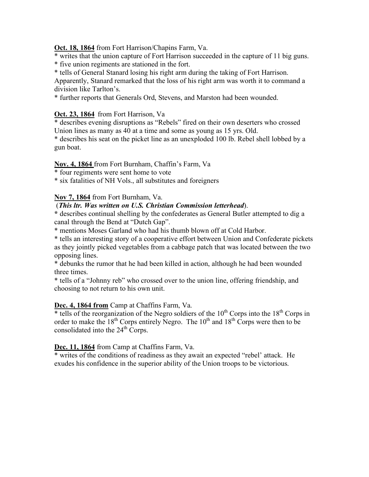**Oct. 18, 1864** from Fort Harrison/Chapins Farm, Va.

\* writes that the union capture of Fort Harrison succeeded in the capture of 11 big guns.

\* five union regiments are stationed in the fort.

\* tells of General Stanard losing his right arm during the taking of Fort Harrison.

Apparently, Stanard remarked that the loss of his right arm was worth it to command a division like Tarlton's.

\* further reports that Generals Ord, Stevens, and Marston had been wounded.

# **Oct. 23, 1864** from Fort Harrison, Va

\* describes evening disruptions as "Rebels" fired on their own deserters who crossed Union lines as many as 40 at a time and some as young as 15 yrs. Old.

\* describes his seat on the picket line as an unexploded 100 lb. Rebel shell lobbed by a gun boat.

#### **Nov. 4, 1864** from Fort Burnham, Chaffin's Farm, Va

\* four regiments were sent home to vote

\* six fatalities of NH Vols., all substitutes and foreigners

# **Nov 7, 1864** from Fort Burnham, Va.

# (*This ltr. Was written on U.S. Christian Commission letterhead*).

**\*** describes continual shelling by the confederates as General Butler attempted to dig a canal through the Bend at "Dutch Gap".

\* mentions Moses Garland who had his thumb blown off at Cold Harbor.

\* tells an interesting story of a cooperative effort between Union and Confederate pickets as they jointly picked vegetables from a cabbage patch that was located between the two opposing lines.

\* debunks the rumor that he had been killed in action, although he had been wounded three times.

\* tells of a "Johnny reb" who crossed over to the union line, offering friendship, and choosing to not return to his own unit.

# **Dec. 4, 1864 from** Camp at Chaffins Farm, Va.

\* tells of the reorganization of the Negro soldiers of the  $10<sup>th</sup>$  Corps into the  $18<sup>th</sup>$  Corps in order to make the  $18<sup>th</sup>$  Corps entirely Negro. The  $10<sup>th</sup>$  and  $18<sup>th</sup>$  Corps were then to be consolidated into the  $24<sup>th</sup>$  Corps.

#### **Dec. 11, 1864** from Camp at Chaffins Farm, Va.

\* writes of the conditions of readiness as they await an expected "rebel' attack. He exudes his confidence in the superior ability of the Union troops to be victorious.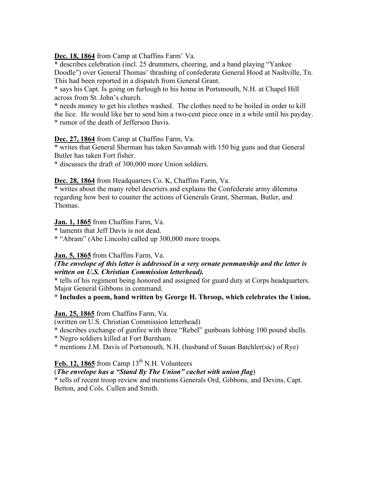**Dec. 18, 1864** from Camp at Chaffins Farm' Va.

\* describes celebration (incl. 25 drummers, cheering, and a band playing "Yankee Doodle") over General Thomas' thrashing of confederate General Hood at Nashville, Tn. This had been reported in a dispatch from General Grant.

\* says his Capt. Is going on furlough to his home in Portsmouth, N.H. at Chapel Hill across from St. John's church.

\* needs money to get his clothes washed. The clothes need to be boiled in order to kill the lice. He would like her to send him a two-cent piece once in a while until his payday. \* rumor of the death of Jefferson Davis.

# **Dec. 27, 1864** from Camp at Chaffins Farm, Va.

\* writes that General Sherman has taken Savannah with 150 big guns and that General Butler has taken Fort fisher.

\* discusses the draft of 300,000 more Union soldiers.

**Dec. 28, 1864** from Headquarters Co. K, Chaffins Farm, Va.

\* writes about the many rebel deserters and explains the Confederate army dilemma regarding how best to counter the actions of Generals Grant, Sherman, Butler, and Thomas.

**Jan. 1, 1865** from Chaffins Farm, Va.

\* laments that Jeff Davis is not dead.

\* "Abram" (Abe Lincoln) called up 300,000 more troops.

# **Jan. 5, 1865** from Chaffins Farm, Va.

#### *(The envelope of this letter is addressed in a very ornate penmanship and the letter is written on U.S. Christian Commission letterhead).*

\* tells of his regiment being honored and assigned for guard duty at Corps headquarters. Major General Gibbons in command.

\* **Includes a poem, hand written by George H. Throop, which celebrates the Union.**

# **Jan. 25, 1865** from Chaffins Farm, Va.

(written on U.S. Christian Commission letterhead)

\* describes exchange of gunfire with three "Rebel" gunboats lobbing 100 pound shells.

\* Negro soldiers killed at Fort Burnham.

\* mentions J.M. Davis of Portsmouth, N.H. (husband of Susan Batchler(sic) of Rye)

# Feb. 12, 1865 from Camp  $13<sup>th</sup>$  N.H. Volunteers

# (*The envelope has a "Stand By The Union" cachet with union flag*)

\* tells of recent troop review and mentions Generals Ord, Gibbons, and Devins, Capt. Betton, and Cols. Cullen and Smith.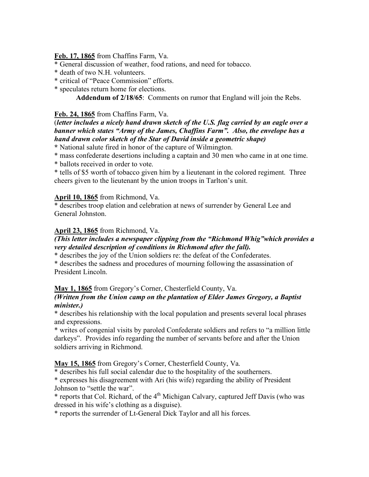**Feb. 17, 1865** from Chaffins Farm, Va.

\* General discussion of weather, food rations, and need for tobacco.

\* death of two N.H. volunteers.

\* critical of "Peace Commission" efforts.

\* speculates return home for elections.

**Addendum of 2/18/65**: Comments on rumor that England will join the Rebs.

#### **Feb. 24, 1865** from Chaffins Farm, Va.

# (*letter includes a nicely hand drawn sketch of the U.S. flag carried by an eagle over a banner which states "Army of the James, Chaffins Farm". Also, the envelope has a hand drawn color sketch of the Star of David inside a geometric shape)*

**\*** National salute fired in honor of the capture of Wilmington.

\* mass confederate desertions including a captain and 30 men who came in at one time.

\* ballots received in order to vote.

\* tells of \$5 worth of tobacco given him by a lieutenant in the colored regiment. Three cheers given to the lieutenant by the union troops in Tarlton's unit.

#### **April 10, 1865** from Richmond, Va.

\* describes troop elation and celebration at news of surrender by General Lee and General Johnston.

# **April 23, 1865** from Richmond, Va.

# *(This letter includes a newspaper clipping from the "Richmond Whig"which provides a very detailed description of conditions in Richmond after the fall).*

\* describes the joy of the Union soldiers re: the defeat of the Confederates.

\* describes the sadness and procedures of mourning following the assassination of President Lincoln.

# **May 1, 1865** from Gregory's Corner, Chesterfield County, Va.

#### *(Written from the Union camp on the plantation of Elder James Gregory, a Baptist minister.)*

\* describes his relationship with the local population and presents several local phrases and expressions.

\* writes of congenial visits by paroled Confederate soldiers and refers to "a million little darkeys". Provides info regarding the number of servants before and after the Union soldiers arriving in Richmond.

**May 15, 1865** from Gregory's Corner, Chesterfield County, Va.

\* describes his full social calendar due to the hospitality of the southerners.

\* expresses his disagreement with Ari (his wife) regarding the ability of President Johnson to "settle the war".

 $*$  reports that Col. Richard, of the  $4<sup>th</sup>$  Michigan Calvary, captured Jeff Davis (who was dressed in his wife's clothing as a disguise).

\* reports the surrender of Lt-General Dick Taylor and all his forces.